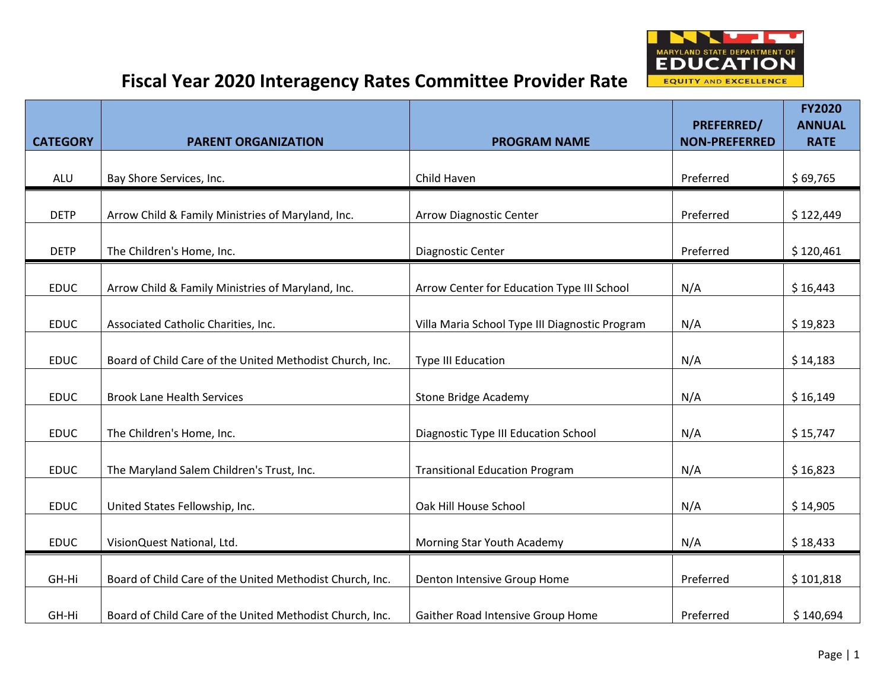

|                 |                                                          |                                                                  | <b>PREFERRED/</b>    | <b>FY2020</b><br><b>ANNUAL</b> |
|-----------------|----------------------------------------------------------|------------------------------------------------------------------|----------------------|--------------------------------|
| <b>CATEGORY</b> | <b>PARENT ORGANIZATION</b>                               | <b>PROGRAM NAME</b>                                              | <b>NON-PREFERRED</b> | <b>RATE</b>                    |
| <b>ALU</b>      | Bay Shore Services, Inc.                                 | Child Haven                                                      | Preferred            | \$69,765                       |
| <b>DETP</b>     | Arrow Child & Family Ministries of Maryland, Inc.        | <b>Arrow Diagnostic Center</b>                                   | Preferred            | \$122,449                      |
| <b>DETP</b>     | The Children's Home, Inc.                                | Diagnostic Center                                                | Preferred            | \$120,461                      |
| <b>EDUC</b>     | Arrow Child & Family Ministries of Maryland, Inc.        | Arrow Center for Education Type III School                       | N/A                  | \$16,443                       |
| <b>EDUC</b>     | Associated Catholic Charities, Inc.                      | Villa Maria School Type III Diagnostic Program                   | N/A                  | \$19,823                       |
| <b>EDUC</b>     | Board of Child Care of the United Methodist Church, Inc. | <b>Type III Education</b>                                        | N/A                  | \$14,183                       |
| <b>EDUC</b>     | <b>Brook Lane Health Services</b>                        | <b>Stone Bridge Academy</b>                                      | N/A                  | \$16,149                       |
| <b>EDUC</b>     | The Children's Home, Inc.                                | Diagnostic Type III Education School                             | N/A                  | \$15,747                       |
| <b>EDUC</b>     | The Maryland Salem Children's Trust, Inc.                | <b>Transitional Education Program</b>                            | N/A                  | \$16,823                       |
| <b>EDUC</b>     | United States Fellowship, Inc.                           | Oak Hill House School                                            | N/A                  | \$14,905                       |
| <b>EDUC</b>     | VisionQuest National, Ltd.                               | Morning Star Youth Academy                                       | N/A                  | \$18,433                       |
|                 | Board of Child Care of the United Methodist Church, Inc. |                                                                  | Preferred            |                                |
| GH-Hi<br>GH-Hi  | Board of Child Care of the United Methodist Church, Inc. | Denton Intensive Group Home<br>Gaither Road Intensive Group Home | Preferred            | \$101,818<br>\$140,694         |
|                 |                                                          |                                                                  |                      |                                |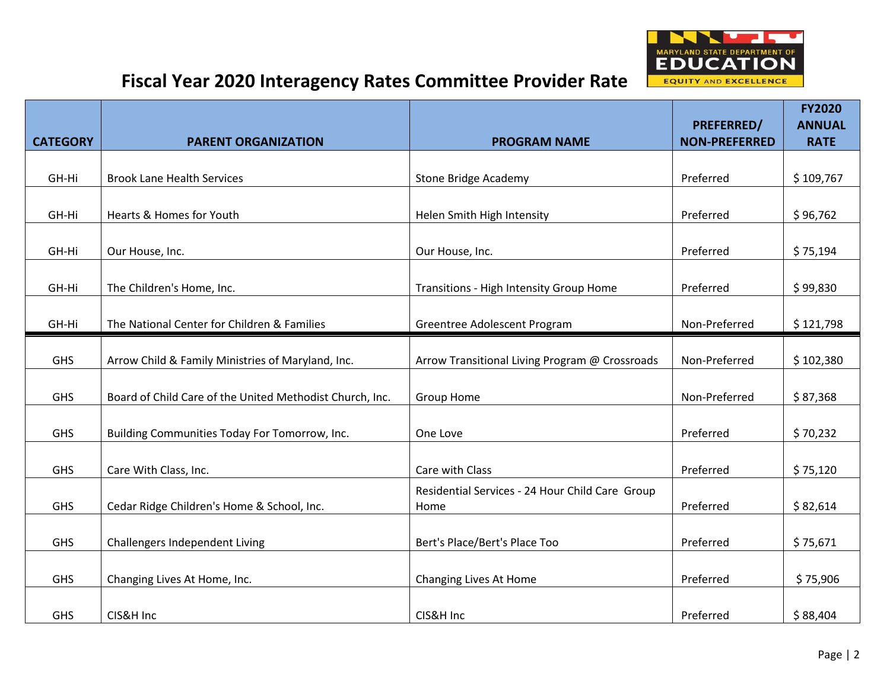

|                 |                                                          |                                                         |                                           | <b>FY2020</b>                |
|-----------------|----------------------------------------------------------|---------------------------------------------------------|-------------------------------------------|------------------------------|
| <b>CATEGORY</b> | <b>PARENT ORGANIZATION</b>                               | <b>PROGRAM NAME</b>                                     | <b>PREFERRED/</b><br><b>NON-PREFERRED</b> | <b>ANNUAL</b><br><b>RATE</b> |
|                 |                                                          |                                                         |                                           |                              |
| GH-Hi           | <b>Brook Lane Health Services</b>                        | <b>Stone Bridge Academy</b>                             | Preferred                                 | \$109,767                    |
|                 |                                                          |                                                         |                                           |                              |
| GH-Hi           | Hearts & Homes for Youth                                 | Helen Smith High Intensity                              | Preferred                                 | \$96,762                     |
| GH-Hi           | Our House, Inc.                                          | Our House, Inc.                                         | Preferred                                 | \$75,194                     |
| GH-Hi           | The Children's Home, Inc.                                | Transitions - High Intensity Group Home                 | Preferred                                 | \$99,830                     |
| GH-Hi           | The National Center for Children & Families              | Greentree Adolescent Program                            | Non-Preferred                             | \$121,798                    |
|                 |                                                          |                                                         |                                           |                              |
| GHS             | Arrow Child & Family Ministries of Maryland, Inc.        | Arrow Transitional Living Program @ Crossroads          | Non-Preferred                             | \$102,380                    |
| GHS             | Board of Child Care of the United Methodist Church, Inc. | <b>Group Home</b>                                       | Non-Preferred                             | \$87,368                     |
| <b>GHS</b>      | Building Communities Today For Tomorrow, Inc.            | One Love                                                | Preferred                                 | \$70,232                     |
| GHS             | Care With Class, Inc.                                    | Care with Class                                         | Preferred                                 | \$75,120                     |
| <b>GHS</b>      | Cedar Ridge Children's Home & School, Inc.               | Residential Services - 24 Hour Child Care Group<br>Home | Preferred                                 | \$82,614                     |
| GHS             | Challengers Independent Living                           | Bert's Place/Bert's Place Too                           | Preferred                                 | \$75,671                     |
|                 |                                                          |                                                         |                                           |                              |
| GHS             | Changing Lives At Home, Inc.                             | Changing Lives At Home                                  | Preferred                                 | \$75,906                     |
| <b>GHS</b>      | CIS&H Inc                                                | CIS&H Inc                                               | Preferred                                 | \$88,404                     |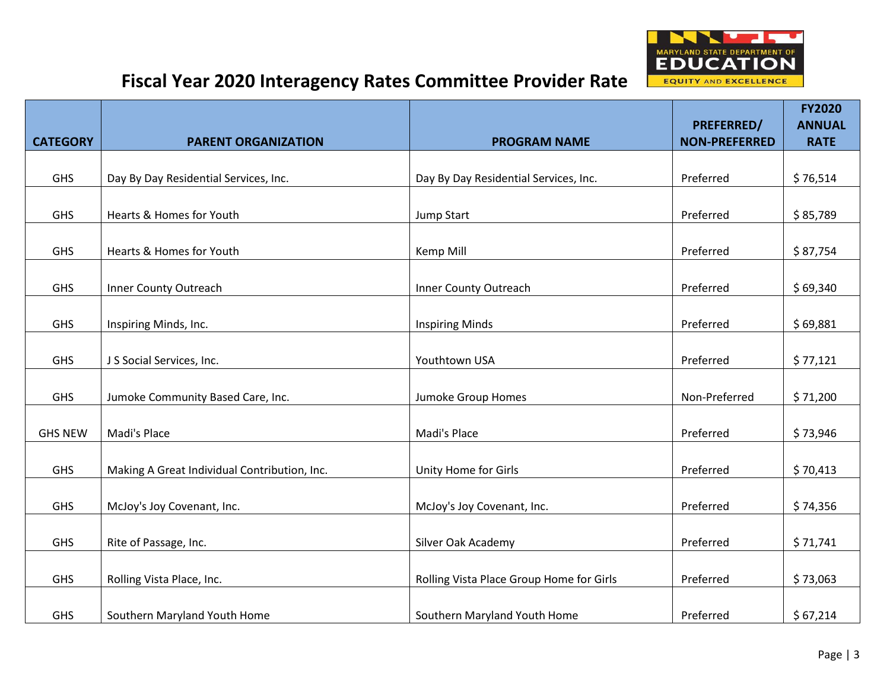

|                 |                                              |                                          | PREFERRED/           | <b>FY2020</b><br><b>ANNUAL</b> |
|-----------------|----------------------------------------------|------------------------------------------|----------------------|--------------------------------|
| <b>CATEGORY</b> | <b>PARENT ORGANIZATION</b>                   | <b>PROGRAM NAME</b>                      | <b>NON-PREFERRED</b> | <b>RATE</b>                    |
|                 |                                              |                                          |                      |                                |
| GHS             | Day By Day Residential Services, Inc.        | Day By Day Residential Services, Inc.    | Preferred            | \$76,514                       |
|                 |                                              |                                          |                      |                                |
| GHS             | Hearts & Homes for Youth                     | Jump Start                               | Preferred            | \$85,789                       |
| GHS             | Hearts & Homes for Youth                     | Kemp Mill                                | Preferred            | \$87,754                       |
| GHS             | Inner County Outreach                        | Inner County Outreach                    | Preferred            | \$69,340                       |
|                 |                                              |                                          |                      |                                |
| GHS             | Inspiring Minds, Inc.                        | <b>Inspiring Minds</b>                   | Preferred            | \$69,881                       |
|                 |                                              |                                          |                      |                                |
| GHS             | J S Social Services, Inc.                    | Youthtown USA                            | Preferred            | \$77,121                       |
| GHS             | Jumoke Community Based Care, Inc.            | Jumoke Group Homes                       | Non-Preferred        | \$71,200                       |
| <b>GHS NEW</b>  | Madi's Place                                 | Madi's Place                             | Preferred            | \$73,946                       |
|                 |                                              |                                          |                      |                                |
| <b>GHS</b>      | Making A Great Individual Contribution, Inc. | Unity Home for Girls                     | Preferred            | \$70,413                       |
|                 |                                              |                                          |                      |                                |
| GHS             | McJoy's Joy Covenant, Inc.                   | McJoy's Joy Covenant, Inc.               | Preferred            | \$74,356                       |
| GHS             | Rite of Passage, Inc.                        | Silver Oak Academy                       | Preferred            | \$71,741                       |
|                 |                                              |                                          |                      |                                |
| GHS             | Rolling Vista Place, Inc.                    | Rolling Vista Place Group Home for Girls | Preferred            | \$73,063                       |
|                 |                                              |                                          |                      |                                |
| GHS             | Southern Maryland Youth Home                 | Southern Maryland Youth Home             | Preferred            | \$67,214                       |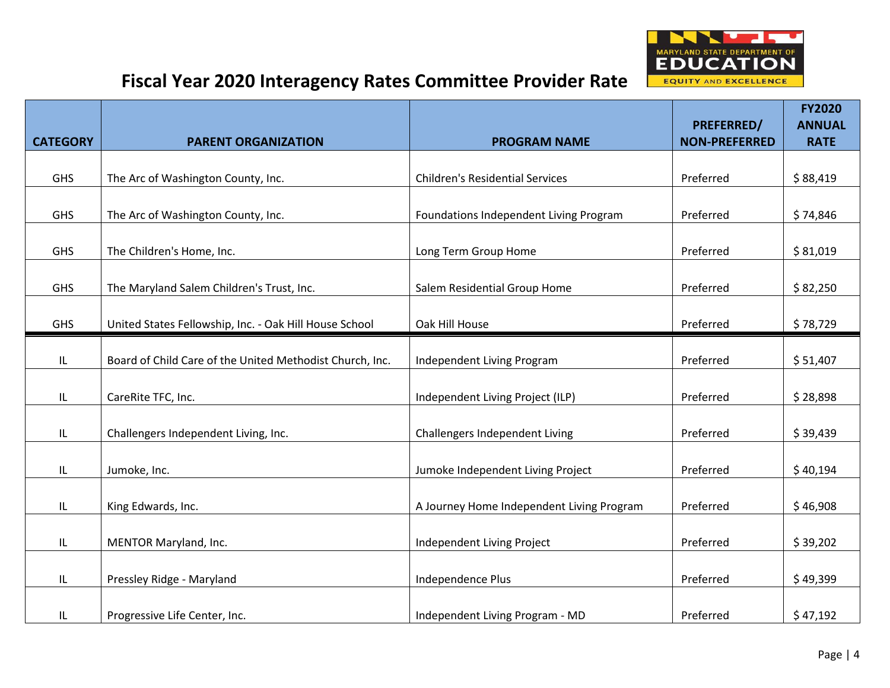

|                 |                                                          |                                           |                                           | <b>FY2020</b>                |
|-----------------|----------------------------------------------------------|-------------------------------------------|-------------------------------------------|------------------------------|
| <b>CATEGORY</b> | <b>PARENT ORGANIZATION</b>                               | <b>PROGRAM NAME</b>                       | <b>PREFERRED/</b><br><b>NON-PREFERRED</b> | <b>ANNUAL</b><br><b>RATE</b> |
|                 |                                                          |                                           |                                           |                              |
| <b>GHS</b>      | The Arc of Washington County, Inc.                       | <b>Children's Residential Services</b>    | Preferred                                 | \$88,419                     |
|                 |                                                          |                                           |                                           |                              |
| GHS             | The Arc of Washington County, Inc.                       | Foundations Independent Living Program    | Preferred                                 | \$74,846                     |
| <b>GHS</b>      | The Children's Home, Inc.                                | Long Term Group Home                      | Preferred                                 | \$81,019                     |
| <b>GHS</b>      | The Maryland Salem Children's Trust, Inc.                | Salem Residential Group Home              | Preferred                                 | \$82,250                     |
| <b>GHS</b>      | United States Fellowship, Inc. - Oak Hill House School   | Oak Hill House                            | Preferred                                 | \$78,729                     |
|                 |                                                          |                                           |                                           |                              |
| IL              | Board of Child Care of the United Methodist Church, Inc. | Independent Living Program                | Preferred                                 | \$51,407                     |
| IL              | CareRite TFC, Inc.                                       | Independent Living Project (ILP)          | Preferred                                 | \$28,898                     |
| IL.             | Challengers Independent Living, Inc.                     | Challengers Independent Living            | Preferred                                 | \$39,439                     |
| IL              | Jumoke, Inc.                                             | Jumoke Independent Living Project         | Preferred                                 | \$40,194                     |
| IL              | King Edwards, Inc.                                       | A Journey Home Independent Living Program | Preferred                                 | \$46,908                     |
|                 |                                                          |                                           |                                           |                              |
| IL              | MENTOR Maryland, Inc.                                    | Independent Living Project                | Preferred                                 | \$39,202                     |
| IL              | Pressley Ridge - Maryland                                | Independence Plus                         | Preferred                                 | \$49,399                     |
| IL              | Progressive Life Center, Inc.                            | Independent Living Program - MD           | Preferred                                 | \$47,192                     |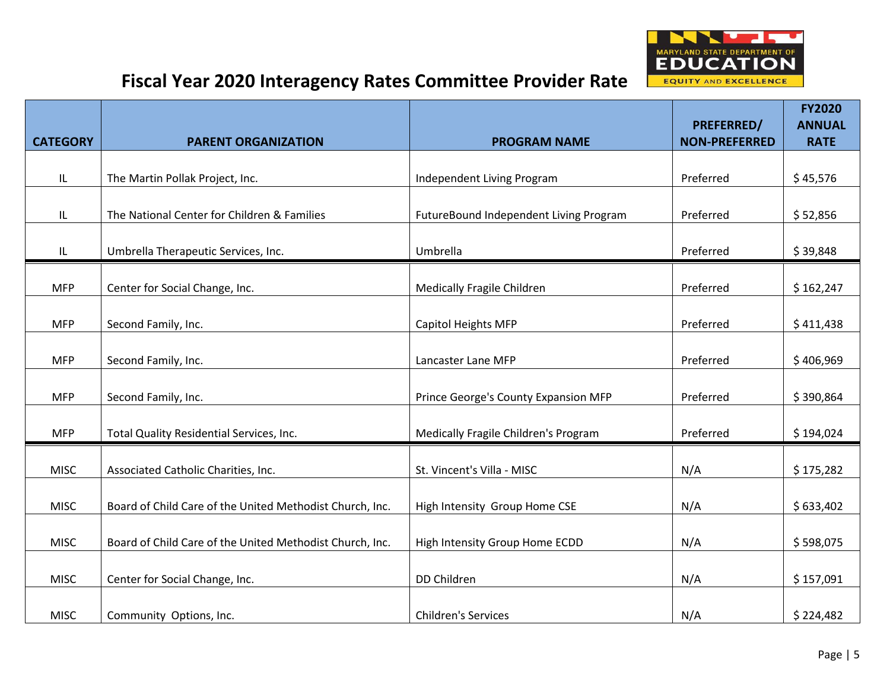

|                 |                                                          |                                        |                                           | <b>FY2020</b>                |
|-----------------|----------------------------------------------------------|----------------------------------------|-------------------------------------------|------------------------------|
| <b>CATEGORY</b> | <b>PARENT ORGANIZATION</b>                               | <b>PROGRAM NAME</b>                    | <b>PREFERRED/</b><br><b>NON-PREFERRED</b> | <b>ANNUAL</b><br><b>RATE</b> |
|                 |                                                          |                                        |                                           |                              |
| IL              | The Martin Pollak Project, Inc.                          | Independent Living Program             | Preferred                                 | \$45,576                     |
|                 |                                                          |                                        |                                           |                              |
| IL              | The National Center for Children & Families              | FutureBound Independent Living Program | Preferred                                 | \$52,856                     |
| IL              | Umbrella Therapeutic Services, Inc.                      | Umbrella                               | Preferred                                 | \$39,848                     |
| <b>MFP</b>      | Center for Social Change, Inc.                           | Medically Fragile Children             | Preferred                                 | \$162,247                    |
|                 |                                                          |                                        |                                           |                              |
| <b>MFP</b>      | Second Family, Inc.                                      | <b>Capitol Heights MFP</b>             | Preferred                                 | \$411,438                    |
| <b>MFP</b>      | Second Family, Inc.                                      | Lancaster Lane MFP                     | Preferred                                 | \$406,969                    |
| <b>MFP</b>      | Second Family, Inc.                                      | Prince George's County Expansion MFP   | Preferred                                 | \$390,864                    |
| <b>MFP</b>      | Total Quality Residential Services, Inc.                 | Medically Fragile Children's Program   | Preferred                                 | \$194,024                    |
| <b>MISC</b>     | Associated Catholic Charities, Inc.                      | St. Vincent's Villa - MISC             | N/A                                       | \$175,282                    |
| <b>MISC</b>     | Board of Child Care of the United Methodist Church, Inc. | High Intensity Group Home CSE          | N/A                                       | \$633,402                    |
| <b>MISC</b>     | Board of Child Care of the United Methodist Church, Inc. | High Intensity Group Home ECDD         | N/A                                       | \$598,075                    |
|                 |                                                          |                                        |                                           |                              |
| <b>MISC</b>     | Center for Social Change, Inc.                           | DD Children                            | N/A                                       | \$157,091                    |
| <b>MISC</b>     | Community Options, Inc.                                  | <b>Children's Services</b>             | N/A                                       | \$224,482                    |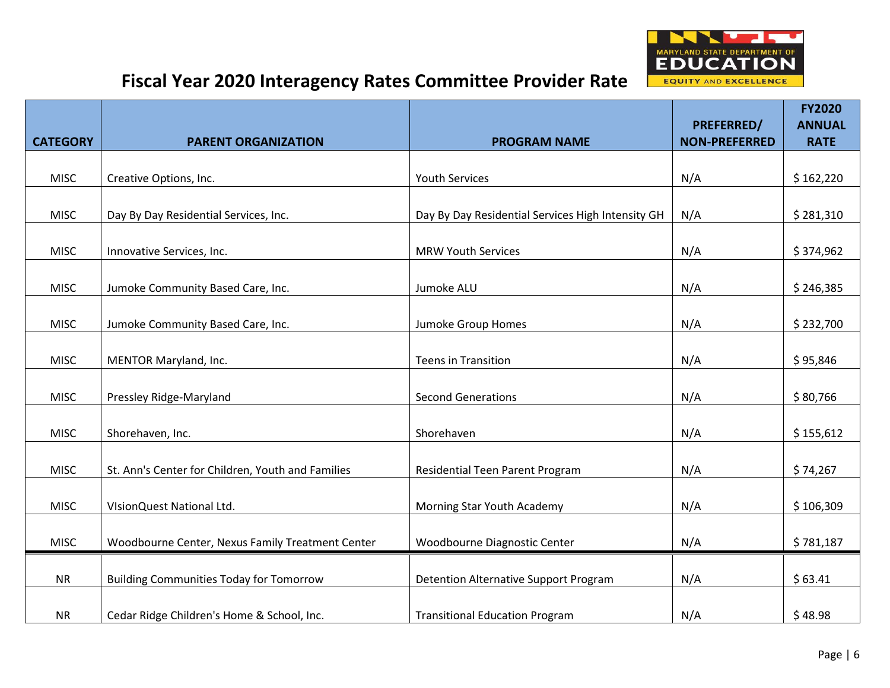

|                 |                                                   |                                                   |                                           | <b>FY2020</b>                |
|-----------------|---------------------------------------------------|---------------------------------------------------|-------------------------------------------|------------------------------|
| <b>CATEGORY</b> | <b>PARENT ORGANIZATION</b>                        | <b>PROGRAM NAME</b>                               | <b>PREFERRED/</b><br><b>NON-PREFERRED</b> | <b>ANNUAL</b><br><b>RATE</b> |
|                 |                                                   |                                                   |                                           |                              |
| <b>MISC</b>     | Creative Options, Inc.                            | <b>Youth Services</b>                             | N/A                                       | \$162,220                    |
|                 |                                                   |                                                   |                                           |                              |
| <b>MISC</b>     | Day By Day Residential Services, Inc.             | Day By Day Residential Services High Intensity GH | N/A                                       | \$281,310                    |
| <b>MISC</b>     | Innovative Services, Inc.                         | <b>MRW Youth Services</b>                         | N/A                                       | \$374,962                    |
| <b>MISC</b>     | Jumoke Community Based Care, Inc.                 | Jumoke ALU                                        | N/A                                       | \$246,385                    |
|                 |                                                   |                                                   |                                           |                              |
| <b>MISC</b>     | Jumoke Community Based Care, Inc.                 | Jumoke Group Homes                                | N/A                                       | \$232,700                    |
|                 |                                                   |                                                   |                                           |                              |
| <b>MISC</b>     | MENTOR Maryland, Inc.                             | <b>Teens in Transition</b>                        | N/A                                       | \$95,846                     |
| <b>MISC</b>     | Pressley Ridge-Maryland                           | <b>Second Generations</b>                         | N/A                                       | \$80,766                     |
|                 |                                                   |                                                   |                                           |                              |
| <b>MISC</b>     | Shorehaven, Inc.                                  | Shorehaven                                        | N/A                                       | \$155,612                    |
| <b>MISC</b>     | St. Ann's Center for Children, Youth and Families | Residential Teen Parent Program                   | N/A                                       | \$74,267                     |
| <b>MISC</b>     | VIsionQuest National Ltd.                         | Morning Star Youth Academy                        | N/A                                       | \$106,309                    |
|                 |                                                   |                                                   |                                           |                              |
| <b>MISC</b>     | Woodbourne Center, Nexus Family Treatment Center  | Woodbourne Diagnostic Center                      | N/A                                       | \$781,187                    |
| <b>NR</b>       | <b>Building Communities Today for Tomorrow</b>    | Detention Alternative Support Program             | N/A                                       | \$63.41                      |
|                 |                                                   |                                                   |                                           |                              |
| <b>NR</b>       | Cedar Ridge Children's Home & School, Inc.        | <b>Transitional Education Program</b>             | N/A                                       | \$48.98                      |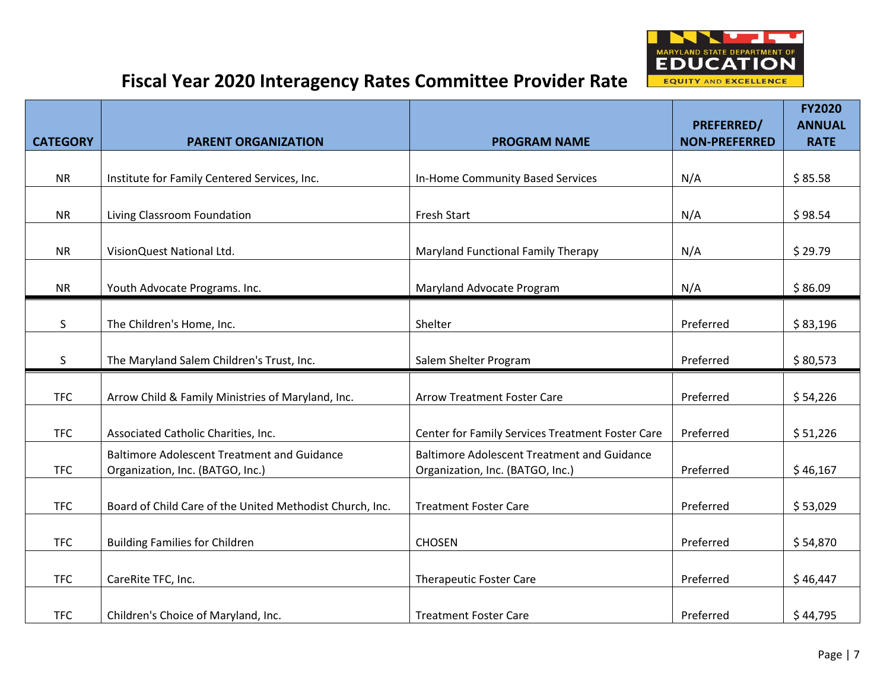

|                 |                                                                                        |                                                                                        |                                           | <b>FY2020</b>                |
|-----------------|----------------------------------------------------------------------------------------|----------------------------------------------------------------------------------------|-------------------------------------------|------------------------------|
| <b>CATEGORY</b> | <b>PARENT ORGANIZATION</b>                                                             | <b>PROGRAM NAME</b>                                                                    | <b>PREFERRED/</b><br><b>NON-PREFERRED</b> | <b>ANNUAL</b><br><b>RATE</b> |
|                 |                                                                                        |                                                                                        |                                           |                              |
| <b>NR</b>       | Institute for Family Centered Services, Inc.                                           | In-Home Community Based Services                                                       | N/A                                       | \$85.58                      |
|                 |                                                                                        |                                                                                        |                                           |                              |
| <b>NR</b>       | Living Classroom Foundation                                                            | <b>Fresh Start</b>                                                                     | N/A                                       | \$98.54                      |
| <b>NR</b>       | VisionQuest National Ltd.                                                              | Maryland Functional Family Therapy                                                     | N/A                                       | \$29.79                      |
| <b>NR</b>       | Youth Advocate Programs. Inc.                                                          | Maryland Advocate Program                                                              | N/A                                       | \$86.09                      |
| S               | The Children's Home, Inc.                                                              | Shelter                                                                                | Preferred                                 | \$83,196                     |
| S               | The Maryland Salem Children's Trust, Inc.                                              | Salem Shelter Program                                                                  | Preferred                                 | \$80,573                     |
| <b>TFC</b>      | Arrow Child & Family Ministries of Maryland, Inc.                                      | <b>Arrow Treatment Foster Care</b>                                                     | Preferred                                 | \$54,226                     |
| <b>TFC</b>      | Associated Catholic Charities, Inc.                                                    | Center for Family Services Treatment Foster Care                                       | Preferred                                 | \$51,226                     |
| <b>TFC</b>      | <b>Baltimore Adolescent Treatment and Guidance</b><br>Organization, Inc. (BATGO, Inc.) | <b>Baltimore Adolescent Treatment and Guidance</b><br>Organization, Inc. (BATGO, Inc.) | Preferred                                 | \$46,167                     |
| <b>TFC</b>      | Board of Child Care of the United Methodist Church, Inc.                               | <b>Treatment Foster Care</b>                                                           | Preferred                                 | \$53,029                     |
| <b>TFC</b>      | <b>Building Families for Children</b>                                                  | <b>CHOSEN</b>                                                                          | Preferred                                 | \$54,870                     |
| <b>TFC</b>      | CareRite TFC, Inc.                                                                     | <b>Therapeutic Foster Care</b>                                                         | Preferred                                 | \$46,447                     |
| <b>TFC</b>      | Children's Choice of Maryland, Inc.                                                    | <b>Treatment Foster Care</b>                                                           | Preferred                                 | \$44,795                     |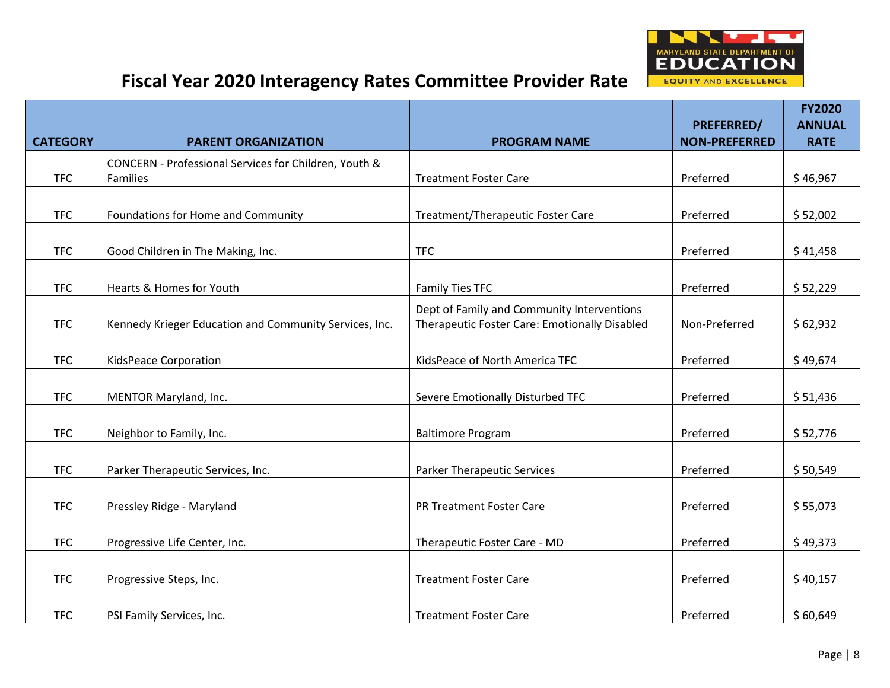

|                 |                                                        |                                                                                             |                                           | <b>FY2020</b>                |
|-----------------|--------------------------------------------------------|---------------------------------------------------------------------------------------------|-------------------------------------------|------------------------------|
| <b>CATEGORY</b> | <b>PARENT ORGANIZATION</b>                             | <b>PROGRAM NAME</b>                                                                         | <b>PREFERRED/</b><br><b>NON-PREFERRED</b> | <b>ANNUAL</b><br><b>RATE</b> |
|                 | CONCERN - Professional Services for Children, Youth &  |                                                                                             |                                           |                              |
| <b>TFC</b>      | Families                                               | <b>Treatment Foster Care</b>                                                                | Preferred                                 | \$46,967                     |
| <b>TFC</b>      | Foundations for Home and Community                     | Treatment/Therapeutic Foster Care                                                           | Preferred                                 | \$52,002                     |
| <b>TFC</b>      | Good Children in The Making, Inc.                      | <b>TFC</b>                                                                                  | Preferred                                 | \$41,458                     |
| <b>TFC</b>      | Hearts & Homes for Youth                               | <b>Family Ties TFC</b>                                                                      | Preferred                                 | \$52,229                     |
| <b>TFC</b>      | Kennedy Krieger Education and Community Services, Inc. | Dept of Family and Community Interventions<br>Therapeutic Foster Care: Emotionally Disabled | Non-Preferred                             | \$62,932                     |
| <b>TFC</b>      | KidsPeace Corporation                                  | KidsPeace of North America TFC                                                              | Preferred                                 | \$49,674                     |
| <b>TFC</b>      | MENTOR Maryland, Inc.                                  | Severe Emotionally Disturbed TFC                                                            | Preferred                                 | \$51,436                     |
| <b>TFC</b>      | Neighbor to Family, Inc.                               | <b>Baltimore Program</b>                                                                    | Preferred                                 | \$52,776                     |
| <b>TFC</b>      | Parker Therapeutic Services, Inc.                      | <b>Parker Therapeutic Services</b>                                                          | Preferred                                 | \$50,549                     |
| <b>TFC</b>      | Pressley Ridge - Maryland                              | <b>PR Treatment Foster Care</b>                                                             | Preferred                                 | \$55,073                     |
| <b>TFC</b>      | Progressive Life Center, Inc.                          | Therapeutic Foster Care - MD                                                                | Preferred                                 | \$49,373                     |
| <b>TFC</b>      | Progressive Steps, Inc.                                | <b>Treatment Foster Care</b>                                                                | Preferred                                 | \$40,157                     |
| <b>TFC</b>      | PSI Family Services, Inc.                              | <b>Treatment Foster Care</b>                                                                | Preferred                                 | \$60,649                     |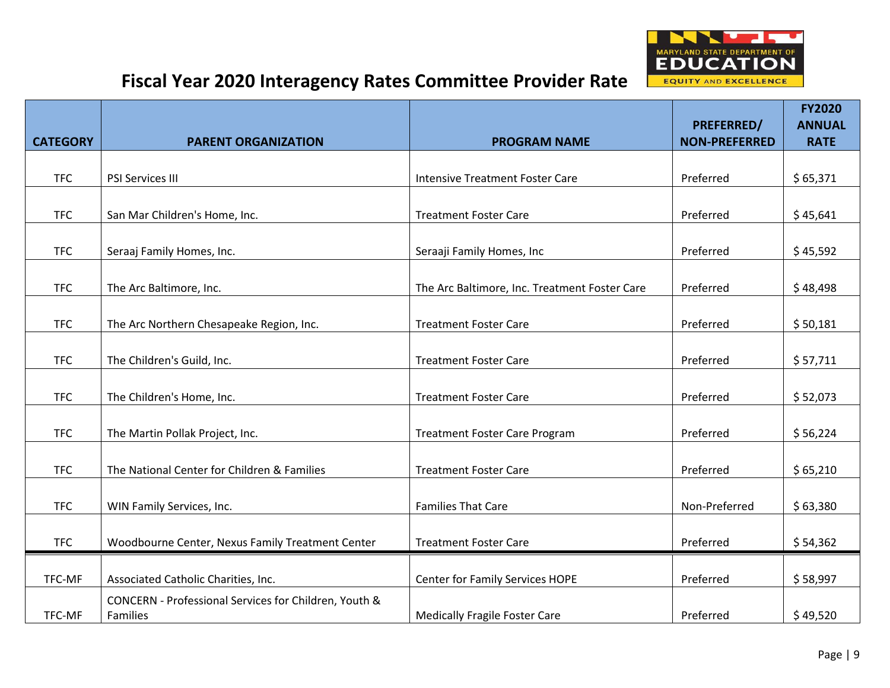

|                 |                                                                   |                                               |                                           | <b>FY2020</b>                |
|-----------------|-------------------------------------------------------------------|-----------------------------------------------|-------------------------------------------|------------------------------|
| <b>CATEGORY</b> | <b>PARENT ORGANIZATION</b>                                        | <b>PROGRAM NAME</b>                           | <b>PREFERRED/</b><br><b>NON-PREFERRED</b> | <b>ANNUAL</b><br><b>RATE</b> |
|                 |                                                                   |                                               |                                           |                              |
| <b>TFC</b>      | PSI Services III                                                  | <b>Intensive Treatment Foster Care</b>        | Preferred                                 | \$65,371                     |
|                 |                                                                   |                                               |                                           |                              |
| <b>TFC</b>      | San Mar Children's Home, Inc.                                     | <b>Treatment Foster Care</b>                  | Preferred                                 | \$45,641                     |
| <b>TFC</b>      | Seraaj Family Homes, Inc.                                         | Seraaji Family Homes, Inc                     | Preferred                                 | \$45,592                     |
| <b>TFC</b>      | The Arc Baltimore, Inc.                                           | The Arc Baltimore, Inc. Treatment Foster Care | Preferred                                 | \$48,498                     |
| <b>TFC</b>      | The Arc Northern Chesapeake Region, Inc.                          | <b>Treatment Foster Care</b>                  | Preferred                                 | \$50,181                     |
|                 |                                                                   |                                               |                                           |                              |
| <b>TFC</b>      | The Children's Guild, Inc.                                        | <b>Treatment Foster Care</b>                  | Preferred                                 | \$57,711                     |
| <b>TFC</b>      | The Children's Home, Inc.                                         | <b>Treatment Foster Care</b>                  | Preferred                                 | \$52,073                     |
| <b>TFC</b>      | The Martin Pollak Project, Inc.                                   | <b>Treatment Foster Care Program</b>          | Preferred                                 | \$56,224                     |
| <b>TFC</b>      | The National Center for Children & Families                       | <b>Treatment Foster Care</b>                  | Preferred                                 | \$65,210                     |
| <b>TFC</b>      | WIN Family Services, Inc.                                         | <b>Families That Care</b>                     | Non-Preferred                             | \$63,380                     |
| <b>TFC</b>      | Woodbourne Center, Nexus Family Treatment Center                  | <b>Treatment Foster Care</b>                  | Preferred                                 | \$54,362                     |
|                 |                                                                   |                                               |                                           |                              |
| TFC-MF          | Associated Catholic Charities, Inc.                               | Center for Family Services HOPE               | Preferred                                 | \$58,997                     |
| TFC-MF          | CONCERN - Professional Services for Children, Youth &<br>Families | <b>Medically Fragile Foster Care</b>          | Preferred                                 | \$49,520                     |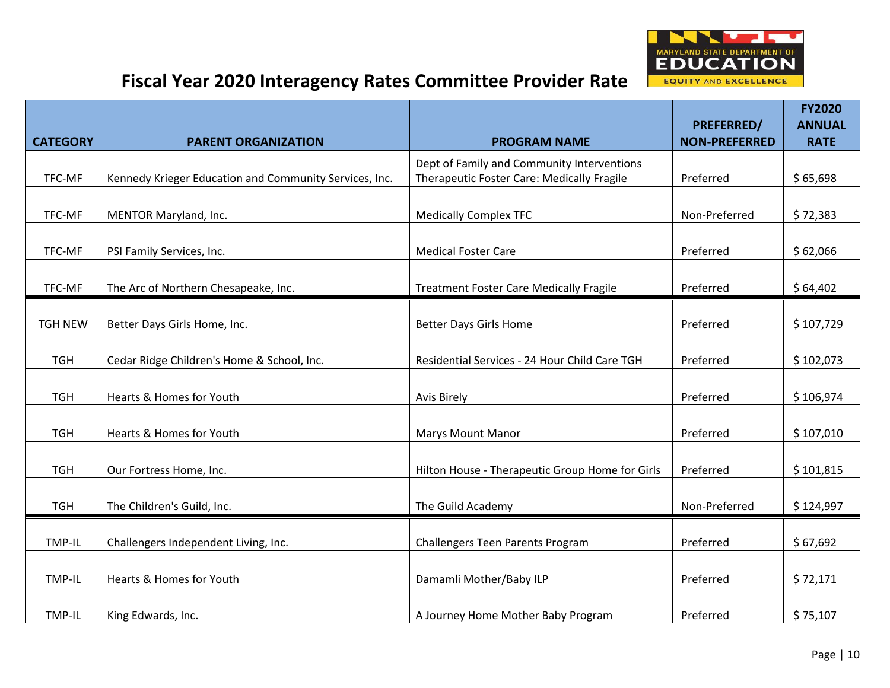

|                 |                                                        |                                                 | <b>PREFERRED/</b>    | <b>FY2020</b><br><b>ANNUAL</b> |
|-----------------|--------------------------------------------------------|-------------------------------------------------|----------------------|--------------------------------|
| <b>CATEGORY</b> | <b>PARENT ORGANIZATION</b>                             | <b>PROGRAM NAME</b>                             | <b>NON-PREFERRED</b> | <b>RATE</b>                    |
|                 |                                                        | Dept of Family and Community Interventions      |                      |                                |
| TFC-MF          | Kennedy Krieger Education and Community Services, Inc. | Therapeutic Foster Care: Medically Fragile      | Preferred            | \$65,698                       |
| TFC-MF          | MENTOR Maryland, Inc.                                  | <b>Medically Complex TFC</b>                    | Non-Preferred        | \$72,383                       |
| TFC-MF          | PSI Family Services, Inc.                              | <b>Medical Foster Care</b>                      | Preferred            | \$62,066                       |
| TFC-MF          | The Arc of Northern Chesapeake, Inc.                   | <b>Treatment Foster Care Medically Fragile</b>  | Preferred            | \$64,402                       |
|                 |                                                        |                                                 |                      |                                |
| <b>TGH NEW</b>  | Better Days Girls Home, Inc.                           | <b>Better Days Girls Home</b>                   | Preferred            | \$107,729                      |
| <b>TGH</b>      | Cedar Ridge Children's Home & School, Inc.             | Residential Services - 24 Hour Child Care TGH   | Preferred            | \$102,073                      |
| <b>TGH</b>      | Hearts & Homes for Youth                               | <b>Avis Birely</b>                              | Preferred            | \$106,974                      |
| <b>TGH</b>      | Hearts & Homes for Youth                               | <b>Marys Mount Manor</b>                        | Preferred            | \$107,010                      |
| <b>TGH</b>      | Our Fortress Home, Inc.                                | Hilton House - Therapeutic Group Home for Girls | Preferred            | \$101,815                      |
| <b>TGH</b>      | The Children's Guild, Inc.                             | The Guild Academy                               | Non-Preferred        | \$124,997                      |
|                 |                                                        |                                                 |                      |                                |
| TMP-IL          | Challengers Independent Living, Inc.                   | <b>Challengers Teen Parents Program</b>         | Preferred            | \$67,692                       |
| <b>TMP-IL</b>   | Hearts & Homes for Youth                               | Damamli Mother/Baby ILP                         | Preferred            | \$72,171                       |
| TMP-IL          | King Edwards, Inc.                                     | A Journey Home Mother Baby Program              | Preferred            | \$75,107                       |